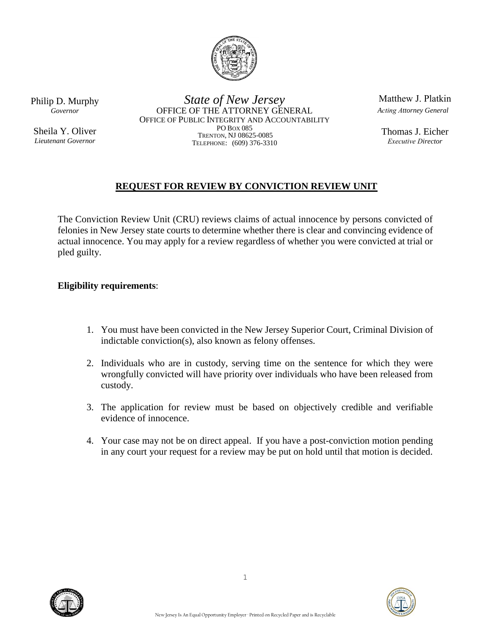

Philip D. Murphy *Governor*

Sheila Y. Oliver *Lieutenant Governor*

*State of New Jersey* OFFICE OF THE ATTORNEY GENERAL OFFICE OF PUBLIC INTEGRITY AND ACCOUNTABILITY PO BOX 085 TRENTON, NJ 08625-0085 TELEPHONE: (609) 376-3310

Matthew J. Platkin *Acting Attorney General*

Thomas J. Eicher *Executive Director*

## **REQUEST FOR REVIEW BY CONVICTION REVIEW UNIT**

The Conviction Review Unit (CRU) reviews claims of actual innocence by persons convicted of felonies in New Jersey state courts to determine whether there is clear and convincing evidence of actual innocence. You may apply for a review regardless of whether you were convicted at trial or pled guilty.

**Eligibility requirements**:

- 1. You must have been convicted in the New Jersey Superior Court, Criminal Division of indictable conviction(s), also known as felony offenses.
- 2. Individuals who are in custody, serving time on the sentence for which they were wrongfully convicted will have priority over individuals who have been released from custody.
- 3. The application for review must be based on objectively credible and verifiable evidence of innocence.
- 4. Your case may not be on direct appeal. If you have a post-conviction motion pending in any court your request for a review may be put on hold until that motion is decided.



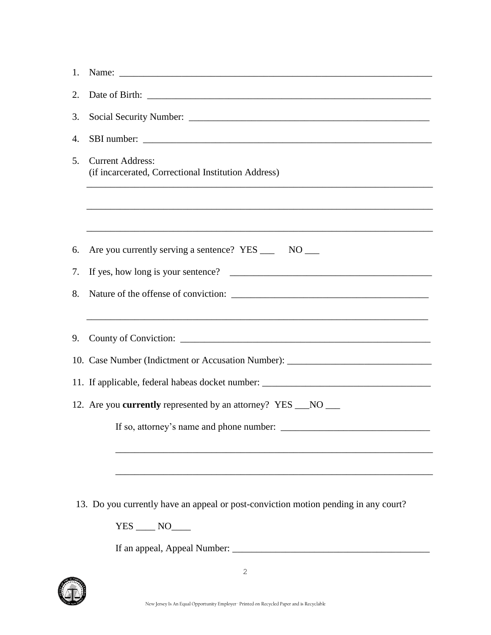| 1.                                                                   |                                                                                     |  |
|----------------------------------------------------------------------|-------------------------------------------------------------------------------------|--|
| 2.                                                                   |                                                                                     |  |
| 3.                                                                   |                                                                                     |  |
| 4.                                                                   |                                                                                     |  |
| 5.                                                                   | <b>Current Address:</b><br>(if incarcerated, Correctional Institution Address)      |  |
|                                                                      |                                                                                     |  |
| 6.                                                                   | Are you currently serving a sentence? YES ______ NO ____                            |  |
| 7.                                                                   |                                                                                     |  |
| 8.                                                                   |                                                                                     |  |
| 9.                                                                   |                                                                                     |  |
|                                                                      | 10. Case Number (Indictment or Accusation Number): _____________________________    |  |
|                                                                      | 11. If applicable, federal habeas docket number: ________________________________   |  |
| 12. Are you <b>currently</b> represented by an attorney? YES __NO __ |                                                                                     |  |
|                                                                      | If so, attorney's name and phone number:                                            |  |
|                                                                      |                                                                                     |  |
|                                                                      | 13. Do you currently have an appeal or post-conviction motion pending in any court? |  |
|                                                                      | $YES$ $NO$ $\qquad$                                                                 |  |
|                                                                      |                                                                                     |  |

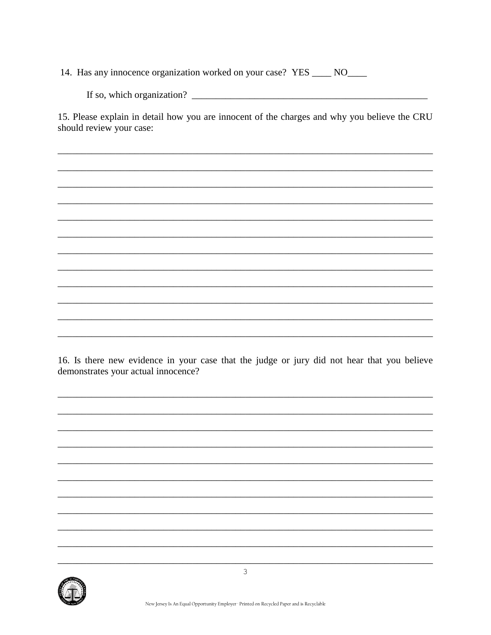14. Has any innocence organization worked on your case? YES \_\_\_\_ NO\_\_\_\_

15. Please explain in detail how you are innocent of the charges and why you believe the CRU should review your case:

16. Is there new evidence in your case that the judge or jury did not hear that you believe demonstrates your actual innocence?

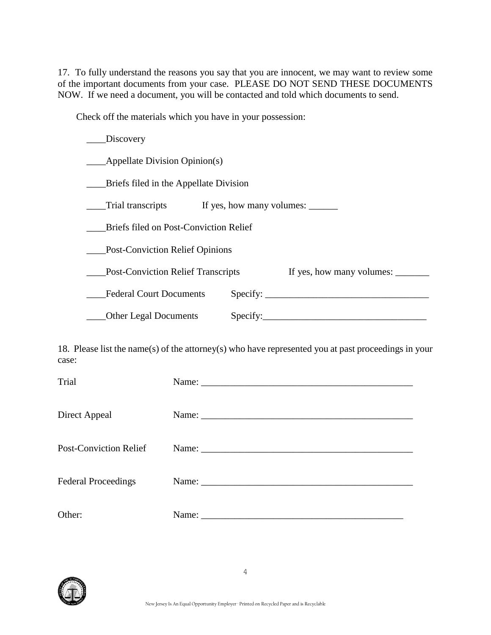17. To fully understand the reasons you say that you are innocent, we may want to review some of the important documents from your case. PLEASE DO NOT SEND THESE DOCUMENTS NOW. If we need a document, you will be contacted and told which documents to send.

Check off the materials which you have in your possession:

| Discovery                                                              |                                   |  |  |
|------------------------------------------------------------------------|-----------------------------------|--|--|
| Appellate Division Opinion(s)                                          |                                   |  |  |
| Briefs filed in the Appellate Division                                 |                                   |  |  |
| Trial transcripts                                                      | If yes, how many volumes:         |  |  |
| Briefs filed on Post-Conviction Relief                                 |                                   |  |  |
| <b>Post-Conviction Relief Opinions</b>                                 |                                   |  |  |
| If yes, how many volumes:<br><b>Post-Conviction Relief Transcripts</b> |                                   |  |  |
| <b>Federal Court Documents</b>                                         | Specify: $\overline{\phantom{a}}$ |  |  |
| <b>Other Legal Documents</b>                                           | Specify:                          |  |  |

18. Please list the name(s) of the attorney(s) who have represented you at past proceedings in your case:

| Trial                         | Name: |
|-------------------------------|-------|
|                               |       |
| Direct Appeal                 |       |
|                               |       |
| <b>Post-Conviction Relief</b> |       |
|                               |       |
| <b>Federal Proceedings</b>    |       |
|                               |       |
| Other:                        |       |